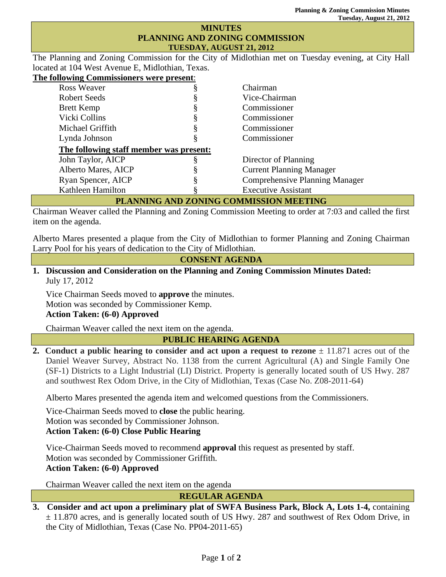## **MINUTES PLANNING AND ZONING COMMISSION TUESDAY, AUGUST 21, 2012**

The Planning and Zoning Commission for the City of Midlothian met on Tuesday evening, at City Hall located at 104 West Avenue E, Midlothian, Texas.

**The following Commissioners were present**:

| <b>Ross Weaver</b>                      |   | Chairman                              |
|-----------------------------------------|---|---------------------------------------|
| <b>Robert Seeds</b>                     |   | Vice-Chairman                         |
| <b>Brett Kemp</b>                       |   | Commissioner                          |
| Vicki Collins                           |   | Commissioner                          |
| Michael Griffith                        |   | Commissioner                          |
| Lynda Johnson                           | Ò | Commissioner                          |
| The following staff member was present: |   |                                       |
| John Taylor, AICP                       |   | Director of Planning                  |
| Alberto Mares, AICP                     |   | <b>Current Planning Manager</b>       |
| Ryan Spencer, AICP                      |   | <b>Comprehensive Planning Manager</b> |
| Kathleen Hamilton                       |   | <b>Executive Assistant</b>            |
|                                         |   |                                       |

## **PLANNING AND ZONING COMMISSION MEETING**

Chairman Weaver called the Planning and Zoning Commission Meeting to order at 7:03 and called the first item on the agenda.

Alberto Mares presented a plaque from the City of Midlothian to former Planning and Zoning Chairman Larry Pool for his years of dedication to the City of Midlothian.

### **CONSENT AGENDA**

## **1. Discussion and Consideration on the Planning and Zoning Commission Minutes Dated:**  July 17, 2012

Vice Chairman Seeds moved to **approve** the minutes. Motion was seconded by Commissioner Kemp. **Action Taken: (6-0) Approved** 

Chairman Weaver called the next item on the agenda.

**PUBLIC HEARING AGENDA** 

**2.** Conduct a public hearing to consider and act upon a request to rezone  $\pm$  11.871 acres out of the Daniel Weaver Survey, Abstract No. 1138 from the current Agricultural (A) and Single Family One (SF-1) Districts to a Light Industrial (LI) District. Property is generally located south of US Hwy. 287 and southwest Rex Odom Drive, in the City of Midlothian, Texas (Case No. Z08-2011-64)

Alberto Mares presented the agenda item and welcomed questions from the Commissioners.

Vice-Chairman Seeds moved to **close** the public hearing. Motion was seconded by Commissioner Johnson. **Action Taken: (6-0) Close Public Hearing**

Vice-Chairman Seeds moved to recommend **approval** this request as presented by staff. Motion was seconded by Commissioner Griffith.

# **Action Taken: (6-0) Approved**

Chairman Weaver called the next item on the agenda

**REGULAR AGENDA** 

**3. Consider and act upon a preliminary plat of SWFA Business Park, Block A, Lots 1-4,** containing ± 11.870 acres, and is generally located south of US Hwy. 287 and southwest of Rex Odom Drive, in the City of Midlothian, Texas (Case No. PP04-2011-65)